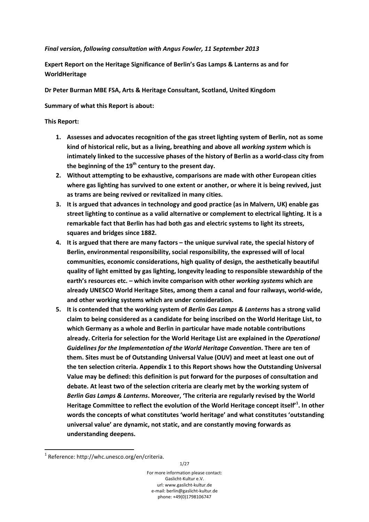## *Final version, following consultation with Angus Fowler, 11 September 2013*

**Expert Report on the Heritage Significance of Berlin's Gas Lamps & Lanterns as and for WorldHeritage** 

**Dr Peter Burman MBE FSA, Arts & Heritage Consultant, Scotland, United Kingdom** 

**Summary of what this Report is about:**

## **This Report:**

- **1. Assesses and advocates recognition of the gas street lighting system of Berlin, not as some kind of historical relic, but as a living, breathing and above all** *working system* **which is intimately linked to the successive phases of the history of Berlin as a world-class city from the beginning of the 19th century to the present day.**
- **2. Without attempting to be exhaustive, comparisons are made with other European cities where gas lighting has survived to one extent or another, or where it is being revived, just as trams are being revived or revitalized in many cities.**
- **3. It is argued that advances in technology and good practice (as in Malvern, UK) enable gas street lighting to continue as a valid alternative or complement to electrical lighting. It is a remarkable fact that Berlin has had both gas and electric systems to light its streets, squares and bridges since 1882.**
- **4. It is argued that there are many factors the unique survival rate, the special history of Berlin, environmental responsibility, social responsibility, the expressed will of local communities, economic considerations, high quality of design, the aesthetically beautiful quality of light emitted by gas lighting, longevity leading to responsible stewardship of the earth's resources etc. – which invite comparison with other** *working systems* **which are already UNESCO World Heritage Sites, among them a canal and four railways, world-wide, and other working systems which are under consideration.**
- **5. It is contended that the working system of** *Berlin Gas Lamps & Lanterns* **has a strong valid claim to being considered as a candidate for being inscribed on the World Heritage List, to which Germany as a whole and Berlin in particular have made notable contributions already. Criteria for selection for the World Heritage List are explained in the** *Operational Guidelines for the Implementation of the World Heritage Convention***. There are ten of them. Sites must be of Outstanding Universal Value (OUV) and meet at least one out of the ten selection criteria. Appendix 1 to this Report shows how the Outstanding Universal Value may be defined: this definition is put forward for the purposes of consultation and debate. At least two of the selection criteria are clearly met by the working system of**  *Berlin Gas Lamps & Lanterns***. Moreover, 'The criteria are regularly revised by the World Heritage Committee to reflect the evolution of the World Heritage concept itself'<sup>1</sup> . In other words the concepts of what constitutes 'world heritage' and what constitutes 'outstanding universal value' are dynamic, not static, and are constantly moving forwards as understanding deepens.**

 $\overline{\phantom{0}}$ 

For more information please contact: Gaslicht-Kultur e.V. url: www.gaslicht-kultur.de e-mail: berlin@gaslicht-kultur.de phone: +49(0)1798106747

 $1$  Reference: http://whc.unesco.org/en/criteria.